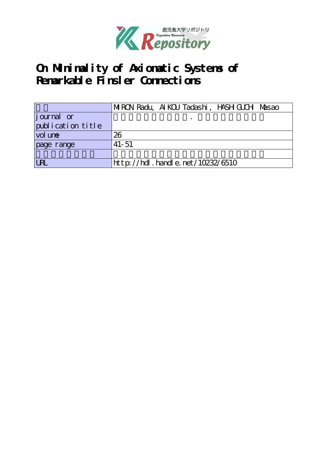

# **On Minimality of Axiomatic Systems of Remarkable Finsler Connections**

|                   | MIRON Radu, AIKOU Tadashi, HASH GUCH Masao |  |  |  |  |  |
|-------------------|--------------------------------------------|--|--|--|--|--|
| journal or        |                                            |  |  |  |  |  |
| publication title |                                            |  |  |  |  |  |
| vol une           | 26                                         |  |  |  |  |  |
| page range        | $41 - 51$                                  |  |  |  |  |  |
|                   |                                            |  |  |  |  |  |
| <b>LRL</b>        | http://hdl.handle.net/10232/6510           |  |  |  |  |  |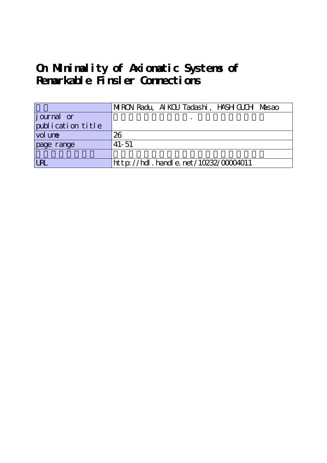# **On Minimality of Axiomatic Systems of Remarkable Finsler Connections**

|                            | MIRON Radu, AIKOU Tadashi, HASH GUCH Masao |
|----------------------------|--------------------------------------------|
| journal or                 |                                            |
| publication title          |                                            |
| $\vert$ vol un $\mathbf e$ | 26                                         |
| page range                 | $41 - 51$                                  |
|                            |                                            |
| <b>LRL</b>                 | http://hdl . handl e. net/10232/00004011   |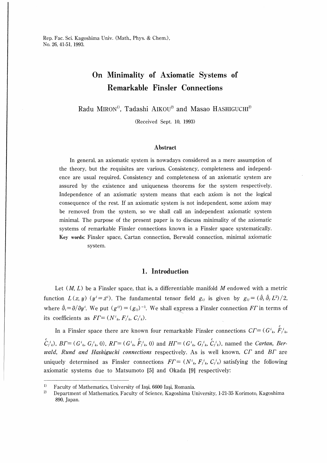### On Minimality of Axiomatic Systems of Remarkable Finsler Connections

Radu MIRON<sup>1)</sup>, Tadashi AIKOU<sup>2)</sup> and Masao HASHIGUCHI<sup>2)</sup>

(Received Sept. 10, 1993)

#### Abstract

In general, an axiomatic system is nowadays considered as a mere assumption of the theory, but the requisites are various. Consistency, completeness and independence are usual required. Consistency and completeness of an axiomatic system are assured by the existence and uniqueness theorems for the system respectively. Independence of an axiomatic system means that each axiom is not the logical consequence of the rest. If an axiomatic system is not independent, some axiom may be removed from the system, so we shall call an independent axiomatic system minimal. The purpose of the present paper is to discuss minimality of the axiomatic systems of remarkable Finsler connections known in a Finsler space systematically. Key words: Finsler space, Cartan connection, Berwald connection, minimal axiomatic system.

#### 1. Introduction

Let  $(M, L)$  be a Finsler space, that is, a differentiable manifold M endowed with a metric function  $L(x, y)$  ( $y<sup>i</sup>=\dot{x}$ <sup>i</sup>). The fundamental tensor field  $g<sub>ij</sub>$  is given by  $g<sub>ij</sub> = (\dot{\partial}_i \dot{\partial}_j L^2)/2$ , where  $\dot{\partial}_i = \partial/\partial y^i$ . We put  $(g^{ij}) = (g_{ij})^{-1}$ . We shall express a Finsler connection FT in terms of its coefficients as  $FT = (N^i_k, F^i_k, C^i_k)$ .

In a Finsler space there are known four remarkable Finsler connections  $CT = (G^i{}_k, \, \hat F^{\,i}_{j\,k})$  $c_{i,k}^{c}$ ,  $BT=(G^{i}_{k}, G^{i}_{j,k}, 0)$ ,  $RT=(G^{i}_{k}, F^{i}_{j,k}, 0)$  and  $HT=(G^{i}_{k}, G^{i}_{j,k}, C^{i}_{j,k})$ , named the *Cartan*, *Ber*wald, Rund and Hashiguchi connections respectively. As is well known,  $CT$  and  $BT$  are uniquely determined as Finsler connections  $FT = (N^i_k, F^i_k, C^i_k)$  satisfying the following axiomatic systems due to Matsumoto [5] and Okada [9] respectively:

 $\,1)$ Faculty of Mathematics, University of Iaşi, 6600 Iaşi, Romania.

 $\bf{2)}$ Department of Mathematics, Faculty of Science, Kagoshima University, 1-21-35 Korimoto, Kagoshima 890, Japan.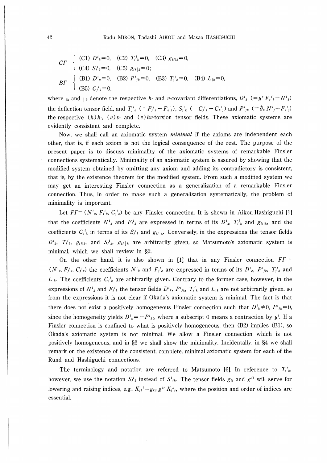$$
C\Gamma \begin{cases} (C1) \ D^{i}{}_{k} = 0, & (C2) \ T_{j}{}^{i}{}_{k} = 0, & (C3) \ g_{ij|k} = 0, \\ (C4) \ S_{j}{}^{i}{}_{k} = 0, & (C5) \ g_{ij|k} = 0; \end{cases}
$$
  

$$
B\Gamma \begin{cases} (B1) \ D^{i}{}_{k} = 0, & (B2) \ P^{i}{}_{jk} = 0, & (B3) \ T_{j}{}^{i}{}_{k} = 0, & (B4) \ L_{|k} = 0, \\ (B5) \ C_{j}{}^{i}{}_{k} = 0, & (B6) \end{cases}
$$

where  $\mu$  and  $\mu$  denote the respective *h*- and *v*-covariant differentiations,  $D^i{}_k$  (=  $y^r F_r^i{}_k - N^i{}_k$ ) the deflection tensor field, and  $T_{j,k}^i$  (=  $F_{j,k}^i-F_{k,j}^i$ ),  $S_{j,k}^i$  (=  $C_{j,k}^i-C_{k,j}^i$ ) and  $P_{j,k}^i$  (=  $\partial_k N_{j}^i-F_{k,j}^i$ ) the respective  $(h)h$ ,  $(v)v$  and  $(v)hv$ -torsion tensor fields. These axiomatic systems are evidently consistent and complete.

Now, we shall call an axiomatic system *minimal* if the axioms are independent each other, that is, if each axiom is not the logical consequence of the rest. The purpose of the present paper is to discuss minimality of the axiomatic systems of remarkable Finsler connections systematically. Minimality of an axiomatic system is assured by showing that the modified system obtained by omitting any axiom and adding its contradictory is consistent, that is, by the existence theorem for the modified system. From such a modified system we may get an interesting Finsler connection as a generalization of a remarkable Finsler connection. Thus, in order to make such a generalization systematically, the problem of minimality is important.

Let  $FT = (N^i_k, F^i_k, C^i_k)$  be any Finsler connection. It is shown in Aikou-Hashiguchi [1] that the coefficients  $N^i_k$  and  $F^i_{jk}$  are expressed in terms of its  $D^i_k$ ,  $T^i_{jk}$  and  $g_{ij|k}$ , and the coefficients  $C_i^i{}_k$  in terms of its  $S_i^i{}_k$  and  $g_{ij}|_k$ . Conversely, in the expressions the tensor fields  $D^i_k$ ,  $T^i_k$ ,  $g_{ij|k}$ , and  $S^i_k$ ,  $g_{ij|k}$  are arbitrarily given, so Matsumoto's axiomatic system is minimal, which we shall review in §2.

On the other hand, it is also shown in [1] that in any Finsler connection  $FT =$  $(N^{i}_{k}, F^{i}_{j,k}, C^{i}_{j,k})$  the coefficients  $N^{i}_{k}$  and  $F^{i}_{j,k}$  are expressed in terms of its  $D^{i}_{k}$ ,  $P^{i}_{jk}$ ,  $T^{i}_{j,k}$  and  $L_{k}$ . The coefficients  $C_{j,k}^{i}$  are arbitrarily given. Contrary to the former case, however, in the expressions of  $N^i_k$  and  $F^i_k$  the tensor fields  $D^i_k$ ,  $P^i_{jk}$ ,  $T^i_{jk}$  and  $L_{jk}$  are not arbitrarily given, so from the expressions it is not clear if Okada's axiomatic system is minimal. The fact is that there does not exist a positively homogeneous Finsler connection such that  $D^i{}_k \neq 0$ ,  $P^i{}_{jk} = 0$ , since the homogeneity yields  $D^i{}_{k} = -P^i{}_{k0}$ , where a subscript 0 means a contraction by  $y^i$ . If a Finster connection is confined to what is positively homogeneous, then (B2) implies (B1), so Okada's axiomatic system is not minimal. We allow a Finsler connection which is not positively homogeneous, and in §3 we shall show the minimality. Incidentally, in §4 we shall remark on the existence of the consistent, complete, minimal axiomatic system for each of the Rund and Hashiguchi connections.

The terminology and notation are referred to Matsumoto [6]. In reference to  $T_{j,k}^{i}$ , however, we use the notation  $S_{j,k}^{i}$  instead of  $S_{j,k}^{i}$ . The tensor fields  $g_{ij}$  and  $g^{ij}$  will serve for lowering and raising indices, e.g.,  $K_{jk}$ <sup>*i*</sup> =  $g_{ks}$  g<sup>*ir*</sup>  $K_j^s$ <sub>r</sub>, where the position and order of indices are essential.

42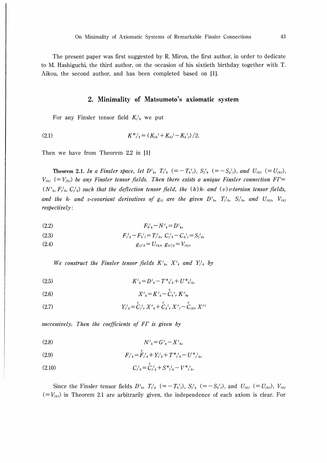The present paper was first suggested by R. Miron, the first author, in order to dedicate to M. Hashiguchi, the third author, on the occasion of his sixtieth birthday together with T. Aikou, the second author, and has been completed based on [1].

### 2. Minimality of Matsumoto's axiomatic system

For any Finsler tensor field  $K_i^i$  we put

$$
(2.1) \tK^*{}_{j\ k} = (K_{jk}{}^i + K_{kj}{}^i - K_{k\ j}{}^i) / 2.
$$

Then we have from Theorem 2.2 in [1]

**Theorem 2.1.** In a Finsler space, let  $D^{i}{}_{k}$ ,  $T^{i}{}_{k}$   $(=-T^{i}{}_{k}{}_{j})$ ,  $S^{i}{}_{k}$   $(=-S^{i}{}_{k}{}_{j})$ , and  $U_{ikj}$   $(=U_{jki})$ ,  $V_{ikj}$  (= $V_{jki}$ ) be any Finsler tensor fields. Then there exists a unique Finsler connection FT=  $(N^i_k, F^i_k, C^i_k)$  such that the deflection tensor field, the  $(h)$  h- and  $(v)$  v-torsion tensor fields, and the h- and v-covariant derivatives of  $g_{ij}$  are the given  $D^i_k$ ,  $T^i_{jk}$ ,  $S^i_{jk}$ , and  $U_{ikj}$ ,  $V_{ikj}$ respectively:

$$
(2.2) \tF_0{}^i{}_k - N^i{}_k = D^i{}_k,
$$

(2.3) 
$$
F_{j k}^i - F_{k j}^i = T_{j k}^i, \ C_{j k}^i - C_{k j}^i = S_{j k}^i
$$

$$
(2.4) \t\t\t g_{ij|k} = U_{ikj}, \ g_{ij|k} = V_{ikj}.
$$

We construct the Finsler tensor fields  $K^{i}_{k}$ ,  $X^{i}_{k}$  and  $Y^{i}_{j}$  by

$$
(2.5) \t\t\t K^i{}_{k} = D^i{}_{k} - T^*{}_{0~k}^i + U^*{}_{0~k}^i,
$$

$$
(2.6) \t\t\t X^i{}_{k} = K^i{}_{k} - \overset{\circ}{C}_{k}{}^{i}{}_{r} K^r{}_{0},
$$

(2.7) 
$$
Y_{j}^{i}{}_{k} = \overset{c}{C}_{j}{}^{i}{}_{r} X^{r}{}_{k} + \overset{c}{C}_{k}{}^{i}{}_{r} X^{r}{}_{j} - \overset{c}{C}_{jkr} X^{ri}
$$

successively. Then the coefficients of FT is given by

$$
(2.8)\t\t N^i{}_{k} = G^i{}_{k} - X^i{}_{k},
$$

(2.9) 
$$
F_{j}{}^{i}{}_{k} = F_{j}{}^{i}{}_{k} + Y_{j}{}^{i}{}_{k} + T^{*}{}_{j}{}^{i}{}_{k} - U^{*}{}_{j}{}^{i}{}_{k},
$$

$$
(2.10) \tCj k = \dot{C}j k + S*j k - V*j k.
$$

Since the Finsler tensor fields  $D^i_k$ ,  $T^i_k$  (=  $-T^i_k$ ),  $S^i_k$  (=  $-S^i_k$ ), and  $U_{ikj}$  (=  $U_{jki}$ ),  $V_{ikj}$  $(=V_{jki})$  in Theorem 2.1 are arbitrarily given, the independence of each axiom is clear. For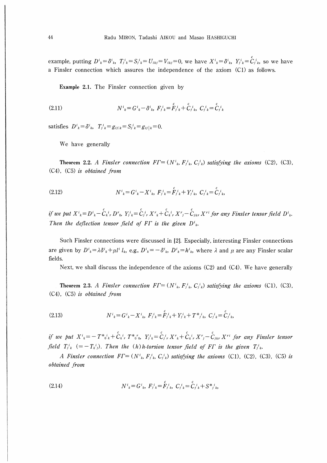example, putting  $D^i{}_k = \delta^i{}_k$ ,  $T^i{}_k = S^i{}_k = U_{ikj} = V_{ikj} = 0$ , we have  $X^i{}_k = \delta^i{}_k$ ,  $Y^i{}_k = C^i{}_k{}_k$ , so we have a Finsler connection which assures the independence of the axiom (C1) as follows.

Example 2.1. The Finsler connection given by

(2.11) 
$$
N^{i}_{k} = G^{i}_{k} - \delta^{i}_{k}, \ F^{i}_{j} = F^{i}_{j}{}^{i}_{k} + C^{i}_{j}{}^{i}_{k}, \ C^{i}_{j}{}^{i}_{k} = C^{i}_{j}{}^{i}_{k}
$$

satisfies  $D^i{}_k = \delta^i{}_k$ ,  $T^i{}_k = g_{ij}{}_{k} = S^i{}_k = g_{ij}{}_{k} = 0$ .

We have generally

**Theorem 2.2.** A Finsler connection  $FT = (N^i_k, F^i_k, C^i_k)$  satisfying the axioms (C2), (C3),  $(C4)$ ,  $(C5)$  is obtained from

(2.12) 
$$
N^{i}_{k} = G^{i}_{k} - X^{i}_{k}, \ F^{i}_{j} = \overset{c}{F}_{j}^{i}_{k} + Y^{i}_{j}_{k}, \ C^{i}_{j} = \overset{c}{C}_{j}^{i}_{k}
$$

if we put  $X^i{}_k = D^i{}_k - \overset{c}{C_k}{}^i{}_k D^r{}_0$ ,  $Y^i{}_k = \overset{c}{C_j}{}^i{}_r X^r{}_k + \overset{c}{C_k}{}^i{}_r X^r{}_j - \overset{c}{C_j}{}_{k}{}_r X^{r}{}^i$  for any Finsler tensor field  $D^i{}_k$ . Then the deflection tensor field of FT is the given  $D^i_k$ .

Such Finsler connections were discussed in [2]. Especially, interesting Finsler connections are given by  $D^i{}_k = \lambda \delta^i{}_k + \mu l^i l_k$ , e.g.,  $D^i{}_k = -\delta^i{}_k$ ,  $D^i{}_k = h^i{}_k$ , where  $\lambda$  and  $\mu$  are any Finsler scalar fields.

Next, we shall discuss the independence of the axioms (C2) and (C4). We have generally

**Theorem 2.3.** A Finsler connection  $FT = (N^i_k, F^i_k, C^i_k)$  satisfying the axioms (C1), (C3),  $(C4)$ ,  $(C5)$  is obtained from

$$
(2.13) \tN^i{}_{k} = G^i{}_{k} - X^i{}_{k}, \ F^i{}_{k} = \overset{c}{F}^i{}_{k} + Y^i{}_{k} + T^*{}^{i}{}_{k}, \ C^i{}_{k} = \overset{c}{C}^i{}_{k},
$$

if we put  $X^{i}{}_{k} = -T^{*}{}_{0}^{i}{}_{k} + \overset{c}{C}_{k}{}_{r}^{i}T^{*}{}_{0}{}_{0}$ ,  $Y^{i}{}_{k} = \overset{c}{C}_{j}{}^{i}{}_{r}X^{r}{}_{k} + \overset{c}{C}_{k}{}^{i}{}_{r}X^{r}{}_{j} - \overset{c}{C}_{j}{}_{k}{}_{r}X^{r}{}^{i}$  for any Finsler tensor field  $T_{j,k}^i$   $(=-T_{k,j}^i)$ . Then the  $(h)$ h-torsion tensor field of F $\Gamma$  is the given  $T_{j,k}^i$ .

A Finsler connection  $FT = (N^i_{\ k}, F^i_{\ j} \ k, C^i_{\ j} \ k)$  satisfying the axioms (C1), (C2), (C3), (C5) is obtained from

(2.14) 
$$
N^{i}_{k} = G^{i}_{k}, F^{i}_{k} = \overset{c}{F}_{j}{}^{i}_{k}, C^{i}_{k} = \overset{c}{C}_{j}{}^{i}_{k} + S^{*}_{j}{}^{i}_{k},
$$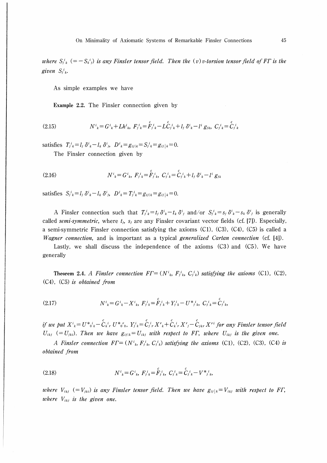where  $S_{j,k}^i$  (=  $-S_{k,j}^i$ ) is any Finsler tensor field. Then the (v) v-torsion tensor field of FT is the given  $S_{j,k}^i$ .

As simple examples we have

Example 2.2. The Finsler connection given by

(2.15) 
$$
N^{i}_{k} = G^{i}_{k} + L h^{i}_{k}, \ F^{i}_{j k} = \overset{c}{F}_{j}{}^{i}_{k} - L \overset{c}{C}_{j}{}^{i}_{k} + l_{j} \ \delta^{i}_{k} - l^{i} \ g_{i k}, \ C^{i}_{j}{}^{i}_{k} = \overset{c}{C}_{j}{}^{i}_{k}
$$

satisfies  $T_{i k}^{i} = l_{i} \, \delta^{i}{}_{k} - l_{k} \, \delta^{i}{}_{j}$ ,  $D^{i}{}_{k} = g_{i j | k} = S_{i k}^{i} = g_{i j | k} = 0$ .

The Finsler connection given by

(2.16) 
$$
N^{i}_{k} = G^{i}_{k}, F^{i}_{k} = \overset{c}{F}_{j}{}^{i}_{k}, C^{i}_{j} = \overset{c}{C}_{j}{}^{i}_{k} + l_{j} \delta^{i}_{k} - l^{i} g_{jk}
$$

satisfies  $S_{i k}^{i} = l_{i} \delta^{i}{}_{k} - l_{k} \delta^{i}{}_{j}$ ,  $D^{i}{}_{k} = T_{i k}^{i} = g_{i j | k} = g_{i j | k} = 0$ .

A Finsler connection such that  $T_j^i{}_k = t_j \delta^i{}_k - t_k \delta^i{}_j$  and/or  $S_j^i{}_k = s_j \delta^i{}_k - s_k \delta^i{}_j$  is generally called semi-symmetric, where  $t_j$ ,  $s_j$  are any Finsler covariant vector fields (cf. [7]). Especially, a semi-symmetric Finsler connection satisfying the axioms  $(C1)$ ,  $(C3)$ ,  $(C4)$ ,  $(C5)$  is called a *Wagner connection*, and is important as a typical *generalized Cartan connection* (cf. [4]).

Lastly, we shall discuss the independence of the axioms  $(C3)$  and  $(C5)$ . We have generally

**Theorem 2.4.** A Finsler connection  $FT = (N^i_k, F^i_k, C^i_k)$  satisfying the axioms (C1), (C2),  $(C4)$ ,  $(C5)$  is obtained from

$$
(2.17) \tN^i{}_{k} = G^i{}_{k} - X^i{}_{k}, \ F^i{}_{k} = \overset{c}{F}^i{}_{k} + Y^i{}_{k} - U^*{}^{i}{}_{k}, \ C^i{}_{k} = \overset{c}{C}^i{}_{k},
$$

if we put  $X^i{}_k = U^*{}_{0}^{i}{}_k - \overset{c}{C}_{k}{}_{r}^{i}{}_r U^*{}_{0}{}_{0}$ ,  $Y^i{}_k = \overset{c}{C}_{j}{}_{r}^{i}{}_r X^r{}_k + \overset{c}{C}_{k}{}_{r}{}_{r} X^r{}_j - \overset{c}{C}_{j}{}_{k}{}_{r} X^{r}{}_{i}$  for any Finsler tensor field  $U_{ikj}$  (=  $U_{jki}$ ). Then we have  $g_{ij|k} = U_{ikj}$  with respect to FT, where  $U_{ikj}$  is the given one.

A Finsler connection  $FT = (N^i_{\ k}, F^i_{\ k}, C^i_{\ k})$  satisfying the axioms (C1), (C2), (C3), (C4) is obtained from

(2.18) 
$$
N^{i}_{k} = G^{i}_{k}, F^{i}_{j k} = \overset{c}{F}_{j}^{i}_{k}, C^{i}_{j k} = \overset{c}{C}_{j}^{i}_{k} - V^{*}_{j k},
$$

where  $V_{ikj}$  (= $V_{jki}$ ) is any Finsler tensor field. Then we have  $g_{ij}|_k = V_{ikj}$  with respect to FT, where  $V_{ikj}$  is the given one.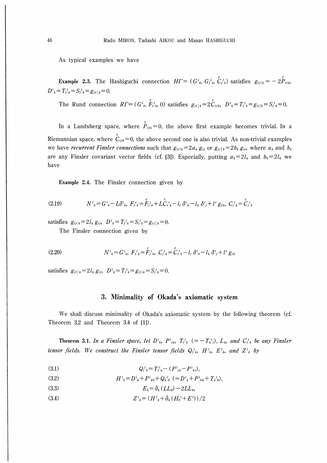As typical examples we have

**Example 2.3.** The Hashiguchi connection  $H\Gamma = (G^i_k, G^i_k, G^i_k)$  satisfies  $g_{ij|k} = -2\overset{c}{P}_{ijk}$  $D^{i}_{k} = T_{j}^{i}_{k} = S_{j}^{i}_{k} = g_{ij|k} = 0.$ 

The Rund connection  $RT = (G^i_k, \hat{F}^i_k, 0)$  satisfies  $g_{ij}|_k = 2\hat{C}_{ijk}$ ,  $D^i_k = T^i_k = g_{ij}|_k = S^i_k = 0$ .

In a Landsberg space, where  $\hat{P}_{ijk} = 0$ , the above first example becomes trivial. In a Riemannian space, where  $\mathcal{L}_{ijk} = 0$ , the above second one is also trivial. As non-trivial examples we have *recurrent Finsler connections* such that  $g_{ij|k} = 2a_k g_{ij}$  or  $g_{ij|k} = 2b_k g_{ij}$ , where  $a_k$  and  $b_k$ are any Finsler covariant vector fields (cf. [3]). Especially, putting  $a_k = 2l_k$  and  $b_k = 2l_k$  we have

**Example 2.4.** The Finsler connection given by

(2.19) 
$$
N^{i}_{k} = G^{i}_{k} - L \delta^{i}_{k}, \ F^{i}_{j} = F^{i}_{j}{}^{i}_{k} + L \hat{C}^{i}_{j}{}^{i}_{k} - l_{j} \ \delta^{i}_{k} - l_{k} \ \delta^{i}_{j} + l^{i} g_{j}{}^{i}, \ C^{i}_{j}{}^{i}_{k} = \hat{C}^{i}_{j}{}^{i}_{k}
$$

satisfies  $g_{ij|k} = 2l_k g_{ij}$ ,  $D^i{}_k = T^i{}_k = S^i{}_k = g_{ij|k} = 0$ .

The Finsler connection given by

(2.20) 
$$
N^{i}_{k} = G^{i}_{k}, F^{i}_{j k} = \overset{c}{F}_{j k}, C^{i}_{j k} = \overset{c}{C}_{j k}{}^{i}_{k} - l_{j} \delta^{i}_{k} - l_{k} \delta^{i}_{j} + l^{i} g_{j k}
$$

satisfies  $g_{ij}|_k = 2l_k g_{ij}$ ,  $D^i{}_k = T^i_{jk} = g_{ij}|_k = S^i_{jk} = 0$ .

#### 3. Minimality of Okada's axiomatic system

We shall discuss minimality of Okada's axiomatic system by the following theorem (cf. Theorem 3.2 and Theorem 3.4 of [1]).

**Theorem 3.1.** In a Finsler space, let  $D^i_k$ ,  $P^i_{jk}$ ,  $T^i_{jk}$  (=  $-T^i_{kj}$ ),  $L_k$ , and  $C^i_{jk}$  be any Finsler tensor fields. We construct the Finsler tensor fields  $Q_i^i{}_k$ ,  $H^i{}_k$ ,  $E^i{}_k$ , and  $Z^i{}_k$  by

$$
(3.1) \tQ_{j k}^{i} = T_{j k}^{i} - (P_{j k}^{i} - P_{k j}^{i}),
$$

(3.2) 
$$
H^{i}_{k} = D^{i}_{k} + P^{i}_{k0} + Q_{k}^{i}_{0} (= D^{i}_{k} + P^{i}_{0k} + T_{k}^{i}_{0}),
$$

(3.3) 
$$
E_k = \dot{\partial}_k (LL_0) - 2LL_k,
$$

$$
(3.4) \tZ^{i}_{k} = (H^{i}_{k} + \dot{\partial}_{k} (H_{0}^{i} + E^{i})) / 2
$$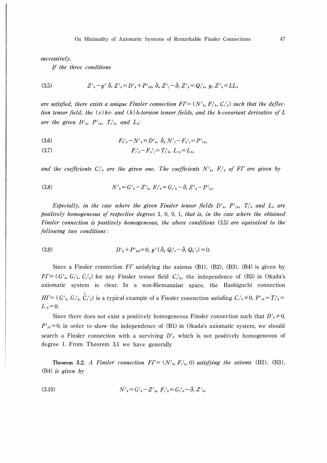successively.

If the three conditions

(3.5) 
$$
Z^{i}_{k} - y^{r} \partial_{r} Z^{i}_{k} = D^{i}_{k} + P^{i}_{k0}, \ \partial_{k} Z^{i}_{j} - \partial_{j} Z^{i}_{k} = Q^{i}_{j,k}, \ y_{r} Z^{r}_{k} = LL_{k}
$$

are satisfied, there exists a unique Finsler connection  $FT = (N^i_{\kappa}, F^i_{jk}, C^i_{jk})$  such that the deflection tensor field, the  $(v)$  hv- and  $(h)$  h-torsion tensor fields, and the h-covariant derivative of L are the given  $D^i_{k}$ ,  $P^i_{jk}$ ,  $T^i_{jk}$ , and  $L_k$ :

(3.6) 
$$
F_0{}^i{}_k - N^i{}_k = D^i{}_k, \; \dot{\partial}_k N^i{}_j - F_k{}^i{}_j = P^i{}_{jk},
$$

$$
(3.7) \tF_j{}^i{}_k - F_k{}^i{}_j = T_j{}^i{}_k, \ L_{|k} = L_k,
$$

and the coefficients  $C_{j,k}^{i}$  are the given one. The coefficients  $N^{i}{}_{k}$ ,  $F_{j,k}^{i}$  of FT are given by

(3.8) 
$$
N^{i}_{k} = G^{i}_{k} - Z^{i}_{k}, \ F^{i}_{j} = G^{i}_{j} - \partial_{j} Z^{i}_{k} - P^{i}_{k}.
$$

Especially, in the case where the given Finsler tensor fields  $D^i_k$ ,  $P^i_{jk}$ ,  $T^i_{jk}$  and  $L_k$  are positively homogeneous of respective degrees 1, 0, 0, 1, that is, in the case where the obtained Finsler connection is positively homogeneous, the above conditions (3.5) are equivalent to the following two conditions:

(3.9) 
$$
D^{i}_{k} + P^{i}_{k0} = 0, y^{r} (\partial_{k} Q_{i}^{i} - \partial_{j} Q_{k}^{i}) = 0.
$$

Since a Finsler connection  $FT$  satisfying the axioms (B1), (B2), (B3), (B4) is given by  $FT=(G<sup>i</sup><sub>k</sub>, G<sup>i</sup><sub>j</sub><sub>k</sub>, C<sup>i</sup><sub>j</sub>)$  for any Finsler tensor field  $C<sup>i</sup><sub>j</sub><sub>k</sub>$ , the independence of (B5) in Okada's axiomatic system is clear. In a non-Riemannian space, the Hashiguchi connection  $HT = (G<sup>i</sup><sub>k</sub>, G<sup>i</sup><sub>j</sub><sub>k</sub>, \tilde{C}<sup>i</sup><sub>j</sub><sub>k</sub>)$  is a typical example of a Finsler conenction satisfing  $C<sup>i</sup><sub>j</sub><sub>k</sub> \neq 0$ ,  $P<sup>i</sup><sub>jk</sub> = T<sup>i</sup><sub>j</sub><sub>k</sub> =$  $L_{k}=0.$ 

Since there does not exist a positively homogeneous Finsler connection such that  $D^i{}_{k} \neq 0$ ,  $P^{i}_{jk}=0$ , in order to show the independence of (B1) in Okada's axiomatic system, we should search a Finsler connection with a surviving  $D^i$  which is not positively homogeneous of degree 1. From Theorem 3.1 we have generally

Theorem 3.2. A Finsler connection  $FT = (N^i_k, F^i_k, 0)$  satisfying the axioms (B2), (B3), (B4) is given by

(3.10) 
$$
N^{i}_{k} = G^{i}_{k} - Z^{i}_{k}, \ F^{i}_{j} = G^{i}_{j} - \partial_{j} Z^{i}_{k},
$$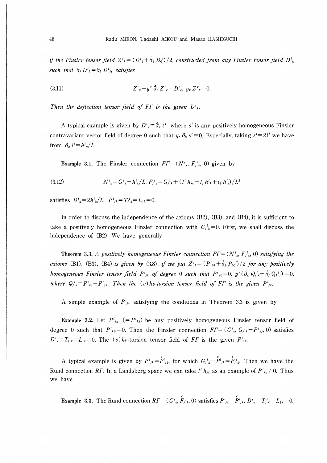if the Finsler tensor field  $Z^i{}_{k} = (D^i{}_{k} + \partial_k D_0{}^{i})/2$ , constructed from any Finsler tensor field  $D^i{}_{k}$ such that  $\dot{\partial}_i D^i{}_{k} = \dot{\partial}_k D^i{}_{j}$ , satisfies

(3.11) 
$$
Z^{i}_{k} - y^{r} \partial_{r} Z^{i}_{k} = D^{i}_{k}, y_{r} Z^{r}_{k} = 0.
$$

Then the deflection tensor field of F $\Gamma$  is the given  $D^i_{\ \,k}$ .

A typical example is given by  $D^i{}_k = \partial_k s^i$ , where s<sup>i</sup> is any positively homogeneous Finsler contravariant vector field of degree 0 such that  $y_r \partial_k s^r = 0$ . Especially, taking  $s^i = 2l^i$  we have from  $\partial_k l^i=h^i_k/L$ 

**Example 3.1.** The Finsler connection  $FT = (N^i_k, F^i_k, 0)$  given by

$$
(3.12) \tN^i{}_k = G^i{}_k - h^i{}_k / L, \tF^i{}_k = G^i{}_k + (l^i h_{jk} + l_j h^i{}_k + l_k h^i{}_j) / L^2
$$

satisfies  $D^i{}_k = 2h^i{}_k/L$ ,  $P^i{}_{jk} = T^i{}_k = L_{k} = 0$ .

In order to discuss the independence of the axioms (B2), (B3), and (B4), it is sufficient to take a positively homogeneous Finsler connection with  $C_t^i_{\mathbf{k}} = 0$ . First, we shall discuss the independence of (B2). We have generally

**Theorem 3.3.** A positively homogeneous Finsler connection  $FT = (N^i_k, F^i_k, 0)$  satisfying the axioms (B1), (B3), (B4) is given by (3.8), if we put  $Z^i{}_k = (P^i{}_{0k} + \hat{\partial}_k P_{00})/2$  for any positively homogeneous Finsler tensor field  $P^i_{jk}$  of degree 0 such that  $P^i_{k0}=0$ ,  $y^r(\partial_k Q^i_{ir}-\partial_i Q^i_{ir})=0$ , where  $Q_i^i{}_k = P^i{}_{ki} - P^i{}_{jk}$ . Then the (v)hv-torsion tensor field of FT is the given  $P^i{}_{ik}$ .

A simple example of  $P^i_{jk}$  satisfying the conditions in Theorem 3.3 is given by

**Example 3.2.** Let  $P^i_{jk}$  (= $P^i_{kj}$ ) be any positively homogeneous Finsler tensor field of degree 0 such that  $P^i{}_{k0}=0$ . Then the Finsler connection  $FT=(G^i{}_k, G^i{}_k-P^i{}_{k}$ , 0) satisfies  $D^i_{\ k} = T^i_{jk} = L_{\ k} = 0$ . The (*v*)*hv*-torsion tensor field of FT is the given  $P^i_{jk}$ .

c c c A typical example is given by  $P^{i}_{jk}=P^{i}_{jk}$ , for which  $G^{i}_{jk}-P^{i}_{jk}=F^{i}_{jk}$ . Then we have the Rund connection RT. In a Landsberg space we can take  $l^{i} h_{jk}$  as an example of  $P^{i}_{jk} \neq 0$ . Thus we have

C C **Example** 3.3. The Rund connection  $RT = (G_{k}^{i}, F_{j}^{i}, 0)$  satisfies  $P^{i}_{jk} = P^{i}_{jk}$ ,  $D^{i}_{k} = T_{j}^{i}_{k} = L_{k} = 0$ .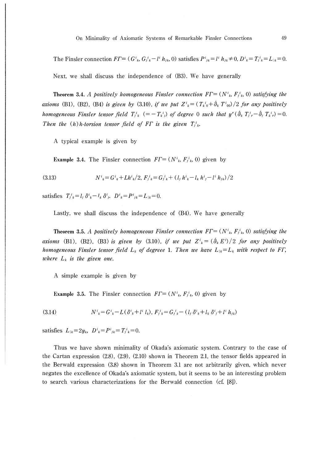The Finsler connection  $FT = (G^i{}_k, G^i{}_k - l^i h_{jk}, 0)$  satisfies  $P^i{}_{jk} = l^i h_{jk} \neq 0, D^i{}_k = T^i{}_k = L_{jk} = 0.$ 

Next, we shall discuss the independence of (B3). We have generally

**Theorem 3.4.** A positively homogeneous Finsler connection  $FT = (N^i_k, F^i_k, 0)$  satisfying the axioms (B1), (B2), (B4) is given by (3.10), if we put  $Z^i{}_{k} = (T_{k}{}^{i}{}_{0} + \partial_k T^i{}_{00})/2$  for any positively homogeneous Finsler tensor field  $T_{jk}^i$   $(=-T_{kj}^i)$  of degree 0 such that  $y^r(\dot{\partial}_k T_j^i - \dot{\partial}_j T_k^i) = 0$ . Then the (h) h-torsion tensor field of FT is the given  $T_{ik}^i$ .

A typical example is given by

**Example 3.4.** The Finsler connection  $FT = (N^i_k, F^i_k, 0)$  given by

$$
(3.13) \tN^i{}_k = G^i{}_k + Lh^i{}_k/2, \ F^i{}_k = G^i{}_k + (l{}_j h^i{}_k - l{}_k h^i{}_j - l^i h_{ik})/2
$$

satisfies  $T_{i,k}^{i} = l_i \, \delta^{i}{}_{k} - l_k \, \delta^{i}{}_{i}$ ,  $D^{i}{}_{k} = P^{i}{}_{ik} = L_{1k} = 0$ .

Lastly, we shall discuss the independence of (B4). We have generally

**Theorem 3.5.** A positively homogeneous Finsler connection  $FT = (N^i_k, F^i_k, 0)$  satisfying the axioms (B1), (B2), (B3) is given by (3.10), if we put  $Z^i{}_{k} = (\partial_k E^i)/2$  for any positively homogeneous Finsler tensor field  $L_k$  of degreee 1. Then we have  $L_{1k} = L_k$  with respect to FT, where  $L_k$  is the given one.

A simple example is given by

**Example 3.5.** The Finsler connection  $FT = (N^i_k, F^i_k, 0)$  given by

(3.14) 
$$
N^{i}_{k} = G^{i}_{k} - L(\delta^{i}_{k} + l^{i} l_{k}), F^{i}_{j k} = G^{i}_{j k} - (l_{j} \delta^{i}_{k} + l_{k} \delta^{i}_{j} + l^{i} h_{ik})
$$

satisfies  $L_{k} = 2y_{k}$ ,  $D^{i}_{k} = P^{i}_{jk} = T_{j}^{i}_{k} = 0$ .

Thus we have shown minimality of Okada's axiomatic system. Contrary to the case of the Cartan expression  $(2.8)$ ,  $(2.9)$ ,  $(2.10)$  shown in Theorem 2.1, the tensor fields appeared in the Berwald expression (3.8) shown in Theorem 3.1 are not arbitrarily given, which never negates the excellence of Okada's axiomatic system, but it seems to be an interesting problem to search various characterizations for the Berwald connection (cf. [8]).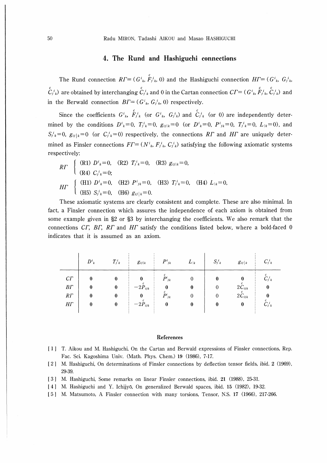50 Radu MIRON, Tadashi AIKOU and Masao HASHIGUCHI

#### 4. The Rund and Hashiguchi connections

The Rund connection  $RT = (G_{k}^{i}, \hat{F}_{j}^{i}, 0)$  and the Hashiguchi connection  $HT = (G_{k}^{i}, G_{j}^{i})$ c c c c  $C_i^i_k$ ) are obtained by interchanging  $C_i^i_k$  and 0 in the Cartan connection  $C\Gamma = (G_i^i, F_i^i_k, C_i^i_k)$  and in the Berwald connection  $BT = (G_{k}^{i}, G_{k}^{i}, 0)$  respectively.

 $\epsilon$  c Since the coefficients  $G^{i}$ ,  $F^{i}_{jk}$  (or  $G^{i}$ ,  $G^{i}_{jk}$ ) and  $C^{i}_{jk}$  (or 0) are independently determined by the conditions  $D^i{}_k=0$ ,  $T^i{}_k=0$ ,  $g_{ij|k}=0$  (or  $D^i{}_k=0$ ,  $P^i{}_{jk}=0$ ,  $T^i{}_k=0$ ,  $L_{|k}=0$ ), and  $S_i^i{}_{k}=0$ ,  $g_{ij}|_{k}=0$  (or  $C_i^i{}_{k}=0$ ) respectively, the connections RT and HT are uniquely determined as Finsler connections  $FT = (N_{ik}^i, F_{ik}^i, C_{ik}^i)$  satisfying the following axiomatic systems respectively:

$$
R\Gamma \begin{cases} \text{(R1) } D^i{}_k = 0, & \text{(R2) } T^i{}_j{}_k = 0, & \text{(R3) } g_{ij}{}_k = 0, \\ \text{(R4) } C^i{}_j{}_k = 0; & \text{(H2) } P^i{}_j{}_k = 0, & \text{(H3) } T^i{}_j{}_k = 0, & \text{(H4) } L_{k} = 0, \\ \text{(H5) } S^i{}_j{}_k = 0, & \text{(H6) } g_{ij}{}_j{}_k = 0. \end{cases}
$$

These axiomatic systems are clearly consistent and complete. These are also minimal. In fact, a Finsler connection which assures the independence of each axiom is obtained from some example given in §2 or §3 by interchanging the coefficients. We also remark that the connections  $\overline{CI}$ ,  $\overline{BI}$ ,  $\overline{RI}$  and  $\overline{HI}$  satisfy the conditions listed below, where a bold-faced 0 indicates that it is assumed as an axiom.

|                                              | $D^i{}_k$ | $T_j{}^i{}_k$    | $g_{\scriptscriptstyle ij k}$    | $P^i{}_{jk}$                      | $L_{ k}$                                   | $S_i^i{}_k$ | $g_{ij}$   $_k$                       | $C_i^i{}_k$                |
|----------------------------------------------|-----------|------------------|----------------------------------|-----------------------------------|--------------------------------------------|-------------|---------------------------------------|----------------------------|
| $C\Gamma$<br>$B\Gamma$<br>RT<br>$H\varGamma$ | 0         | 0<br>0<br>0<br>0 | $-2P_{ijk}$<br>$-2\dot{P}_{ijk}$ | c<br>$P^i{}_{jk}$<br>$P^i{}_{jk}$ | 0<br>$\boldsymbol{0}$<br>$\mathbf{0}$<br>0 | 0<br>0      | $2C_{ijk}$<br>$2\tilde{C}_{ijk}$<br>0 | $C_{j,k}^i$<br>$C_{j,k}^i$ |

#### References

- I 1 I T. Aikou and M. Hashiguchi, On the Cartan and Berwald expressions of Finsler connections, Rep. Fac. Sci. Kagoshima Univ. (Math. Phys. Chem.) 19 (1986), 7-17.
- [ 2 ] M. Hashiguchi, On determinations of Finsler connections by deflection tensor fields, ibid. 2 (1969), 29-39.
- [3] M. Hashiguchi, Some remarks on linear Finsler connections, ibid. 21 (1988), 25-31.
- [41 M. Hashiguchi and Y. Ichijyo, On generalized Berwald spaces, ibid. 15 (1982), 19-32.
- 5 ] M. Matsumoto, A Finsler connection with many torsions, Tensor, N.S. 17 (1966), 217-266.